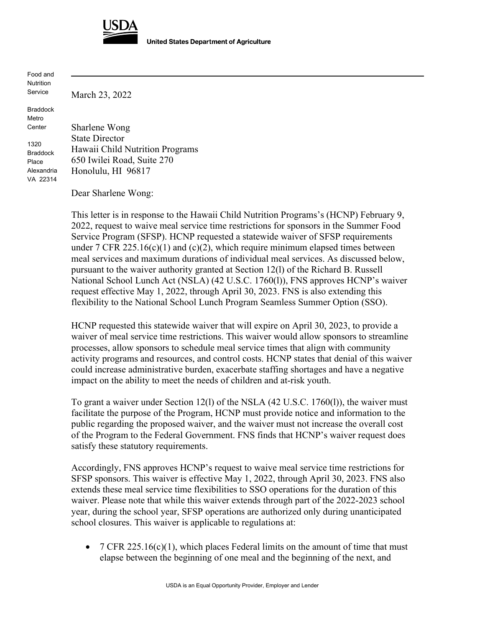

**United States Department of Agriculture** 

Food and Nutrition Service

Braddock Metro **Center** 

1320

Place

March 23, 2022

Braddock Alexandria VA 22314 Sharlene Wong State Director Hawaii Child Nutrition Programs 650 Iwilei Road, Suite 270 Honolulu, HI 96817

Dear Sharlene Wong:

This letter is in response to the Hawaii Child Nutrition Programs's (HCNP) February 9, 2022, request to waive meal service time restrictions for sponsors in the Summer Food Service Program (SFSP). HCNP requested a statewide waiver of SFSP requirements under 7 CFR 225.16(c)(1) and (c)(2), which require minimum elapsed times between meal services and maximum durations of individual meal services. As discussed below, pursuant to the waiver authority granted at Section 12(l) of the Richard B. Russell National School Lunch Act (NSLA) (42 U.S.C. 1760(l)), FNS approves HCNP's waiver request effective May 1, 2022, through April 30, 2023. FNS is also extending this flexibility to the National School Lunch Program Seamless Summer Option (SSO).

HCNP requested this statewide waiver that will expire on April 30, 2023, to provide a waiver of meal service time restrictions. This waiver would allow sponsors to streamline processes, allow sponsors to schedule meal service times that align with community activity programs and resources, and control costs. HCNP states that denial of this waiver could increase administrative burden, exacerbate staffing shortages and have a negative impact on the ability to meet the needs of children and at-risk youth.

To grant a waiver under Section 12(l) of the NSLA (42 U.S.C. 1760(l)), the waiver must facilitate the purpose of the Program, HCNP must provide notice and information to the public regarding the proposed waiver, and the waiver must not increase the overall cost of the Program to the Federal Government. FNS finds that HCNP's waiver request does satisfy these statutory requirements.

Accordingly, FNS approves HCNP's request to waive meal service time restrictions for SFSP sponsors. This waiver is effective May 1, 2022, through April 30, 2023. FNS also extends these meal service time flexibilities to SSO operations for the duration of this waiver. Please note that while this waiver extends through part of the 2022-2023 school year, during the school year, SFSP operations are authorized only during unanticipated school closures. This waiver is applicable to regulations at:

• 7 CFR 225.16(c)(1), which places Federal limits on the amount of time that must elapse between the beginning of one meal and the beginning of the next, and